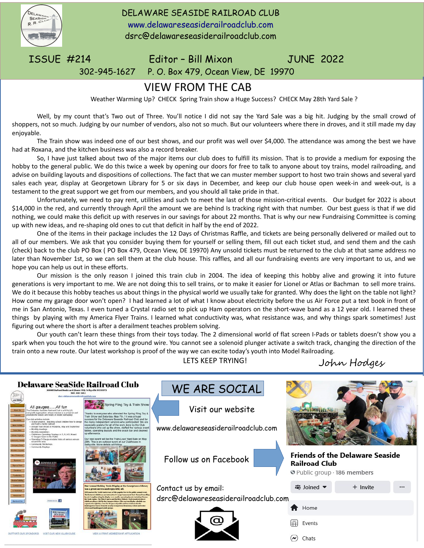

## DELAWARE SEASIDE RAILROAD CLUB [www.delawareseasiderailroadclub.com](http://www.delawareseasiderailroadclub.com/) dsrc@delawareseasiderailroadclub.com

## ISSUE #214 Editor – Bill Mixon JUNE 2022

## 302-945-1627 P. O. Box 479, Ocean View, DE 19970

## VIEW FROM THE CAB

Weather Warming Up? CHECK Spring Train show a Huge Success? CHECK May 28th Yard Sale ?

snoppers, r<br>enjoyable. Well, by my count that's Two out of Three. You'll notice I did not say the Yard Sale was a big hit. Judging by the small crowd of shoppers, not so much. Judging by our number of vendors, also not so much. But our volunteers where there in droves, and it still made my day

 had at Roxana, and the kitchen business was also a record breaker. The Train show was indeed one of our best shows, and our profit was well over \$4,000. The attendance was among the best we have

hobby to the general public. We do this twice a week by opening our doors for free to talk to anyone about toy trains, model railroading, and<br>end in the contract of the contract of the contract of the contract of the contr advise on bunding raybuts and dispositions of conections. The ract that we can muster member support to nost two train shows and several yard<br>sales each year, display at Georgetown Library for 5 or six days in December, an testament to the great support we get from our members, and you should all take pride in that. So, I have just talked about two of the major items our club does to fulfill its mission. That is to provide a medium for exposing the advise on building layouts and dispositions of collections. The fact that we can muster member support to host two train shows and several yard

Unfortunately, we need to pay rent, utilities and such to meet the last of those mission-critical events. Our budget for 2022 is about \$14,000 in the red, and currently through April the amount we are behind Is tracking right with that number. Our best guess is that if we did nothing, we could make this deficit up with reserves in our savings for about 22 months. That is why our new Fundraising Committee is coming up with new ideas, and re-shaping old ones to cut that deficit in half by the end of 2022.

One of the items in their package includes the 12 Days of Christmas Raffle, and tickets are being personally delivered or mailed out to all of our members. We ask that you consider buying them for yourself or selling them, fill out each ticket stud, and send them and the cash (check) back to the club PO Box ( PO Box 479, Ocean View, DE 19970) Any unsold tickets must be returned to the club at that same address no later than November 1st, so we can sell them at the club house. This raffles, and all our fundraising events are very important to us, and we hope you can help us out in these efforts.

Our mission is the only reason I joined this train club in 2004. The idea of keeping this hobby alive and growing it into future generations is very important to me. We are not doing this to sell trains, or to make it easier for Lionel or Atlas or Bachman to sell more trains. We do it because this hobby teaches us about things in the physical world we usually take for granted. Why does the light on the table not light? How come my garage door won't open? I had learned a lot of what I know about electricity before the us Air Force put a text book in front of me in San Antonio, Texas. I even tuned a Crystal radio set to pick up Ham operators on the short-wave band as a 12 year old. I learned these things by playing with my America Flyer Trains. I learned what conductivity was, what resistance was, and why things spark sometimes! Just figuring out where the short is after a derailment teaches problem solving.

Our youth can't learn these things from their toys today. The 2 dimensional world of flat screen I-Pads or tablets doesn't show you a spark when you touch the hot wire to the ground wire. You cannot see a solenoid plunger activate a switch track, changing the direction of the train onto a new route. Our latest workshop is proof of the way we can excite today's youth into Model Railroading.

LETS KEEP TRYING!

John Hodges Delaware SeaSide Railroad Club<br>
WE ARE SOCIAL vring Fling Toy & Train She All gauges.  $All firm$ Visit our website About the www.delawareseasiderailroadclub.com **Friends of the Delaware Seaside** Follow us on Facebook Railroad Club O Public group · 186 members 為 Joined ▼  $+$  Invite Contact us by email: dsrc@delawareseasiderailroadclub.comHome Events

Chats